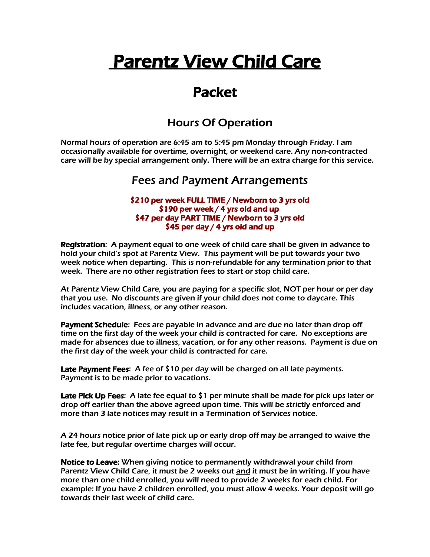# Parentz View Child Care

## Packet

## Hours Of Operation

Normal hours of operation are 6:45 am to 5:45 pm Monday through Friday. I am occasionally available for overtime, overnight, or weekend care. Any non-contracted care will be by special arrangement only. There will be an extra charge for this service.

## Fees and Payment Arrangements

#### \$210 per week FULL TIME / Newborn to 3 yrs old \$190 per week / 4 yrs old and up \$47 per day PART TIME / Newborn to 3 yrs old \$45 per day / 4 yrs old and up

Registration: A payment equal to one week of child care shall be given in advance to hold your child's spot at Parentz View. This payment will be put towards your two week notice when departing. This is non-refundable for any termination prior to that week. There are no other registration fees to start or stop child care.

At Parentz View Child Care, you are paying for a specific slot, NOT per hour or per day that you use. No discounts are given if your child does not come to daycare. This includes vacation, illness, or any other reason.

Payment Schedule: Fees are payable in advance and are due no later than drop off time on the first day of the week your child is contracted for care. No exceptions are made for absences due to illness, vacation, or for any other reasons. Payment is due on the first day of the week your child is contracted for care.

Late Payment Fees: A fee of \$10 per day will be charged on all late payments. Payment is to be made prior to vacations.

Late Pick Up Fees: A late fee equal to \$1 per minute shall be made for pick ups later or drop off earlier than the above agreed upon time. This will be strictly enforced and more than 3 late notices may result in a Termination of Services notice.

A 24 hours notice prior of late pick up or early drop off may be arranged to waive the late fee, but regular overtime charges will occur.

Notice to Leave: When giving notice to permanently withdrawal your child from Parentz View Child Care, it must be 2 weeks out and it must be in writing. If you have more than one child enrolled, you will need to provide 2 weeks for each child. For example: If you have 2 children enrolled, you must allow 4 weeks. Your deposit will go towards their last week of child care.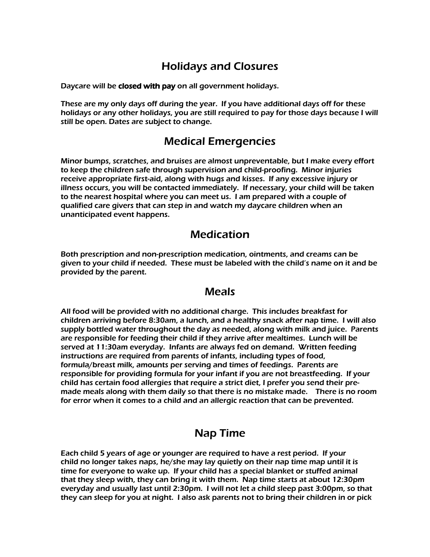## Holidays and Closures

Daycare will be closed with pay on all government holidays.

These are my only days off during the year. If you have additional days off for these holidays or any other holidays, you are still required to pay for those days because I will still be open. Dates are subject to change.

## Medical Emergencies

Minor bumps, scratches, and bruises are almost unpreventable, but I make every effort to keep the children safe through supervision and child-proofing. Minor injuries receive appropriate first-aid, along with hugs and kisses. If any excessive injury or illness occurs, you will be contacted immediately. If necessary, your child will be taken to the nearest hospital where you can meet us. I am prepared with a couple of qualified care givers that can step in and watch my daycare children when an unanticipated event happens.

## Medication

Both prescription and non-prescription medication, ointments, and creams can be given to your child if needed. These must be labeled with the child's name on it and be provided by the parent.

#### Meals

All food will be provided with no additional charge. This includes breakfast for children arriving before 8:30am, a lunch, and a healthy snack after nap time. I will also supply bottled water throughout the day as needed, along with milk and juice. Parents are responsible for feeding their child if they arrive after mealtimes. Lunch will be served at 11:30am everyday. Infants are always fed on demand. Written feeding instructions are required from parents of infants, including types of food, formula/breast milk, amounts per serving and times of feedings. Parents are responsible for providing formula for your infant if you are not breastfeeding. If your child has certain food allergies that require a strict diet, I prefer you send their premade meals along with them daily so that there is no mistake made. There is no room for error when it comes to a child and an allergic reaction that can be prevented.

## Nap Time

Each child 5 years of age or younger are required to have a rest period. If your child no longer takes naps, he/she may lay quietly on their nap time map until it is time for everyone to wake up. If your child has a special blanket or stuffed animal that they sleep with, they can bring it with them. Nap time starts at about 12:30pm everyday and usually last until 2:30pm. I will not let a child sleep past 3:00pm, so that they can sleep for you at night. I also ask parents not to bring their children in or pick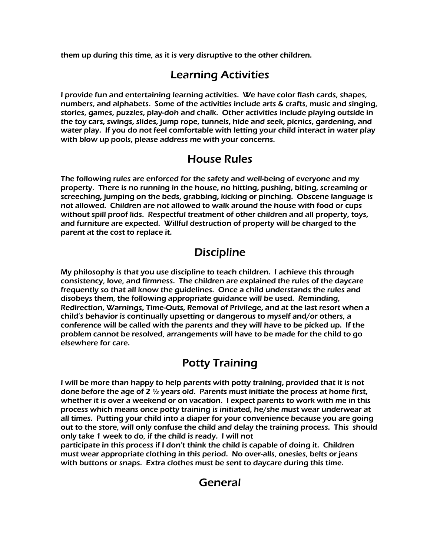them up during this time, as it is very disruptive to the other children.

## Learning Activities

I provide fun and entertaining learning activities. We have color flash cards, shapes, numbers, and alphabets. Some of the activities include arts & crafts, music and singing, stories, games, puzzles, play-doh and chalk. Other activities include playing outside in the toy cars, swings, slides, jump rope, tunnels, hide and seek, picnics, gardening, and water play. If you do not feel comfortable with letting your child interact in water play with blow up pools, please address me with your concerns.

## House Rules

The following rules are enforced for the safety and well-being of everyone and my property. There is no running in the house, no hitting, pushing, biting, screaming or screeching, jumping on the beds, grabbing, kicking or pinching. Obscene language is not allowed. Children are not allowed to walk around the house with food or cups without spill proof lids. Respectful treatment of other children and all property, toys, and furniture are expected. Willful destruction of property will be charged to the parent at the cost to replace it.

## **Discipline**

My philosophy is that you use discipline to teach children. I achieve this through consistency, love, and firmness. The children are explained the rules of the daycare frequently so that all know the guidelines. Once a child understands the rules and disobeys them, the following appropriate guidance will be used. Reminding, Redirection, Warnings, Time-Outs, Removal of Privilege, and at the last resort when a child's behavior is continually upsetting or dangerous to myself and/or others, a conference will be called with the parents and they will have to be picked up. If the problem cannot be resolved, arrangements will have to be made for the child to go elsewhere for care.

## Potty Training

I will be more than happy to help parents with potty training, provided that it is not done before the age of 2  $\frac{1}{2}$  years old. Parents must initiate the process at home first, whether it is over a weekend or on vacation. I expect parents to work with me in this process which means once potty training is initiated, he/she must wear underwear at all times. Putting your child into a diaper for your convenience because you are going out to the store, will only confuse the child and delay the training process. This should only take 1 week to do, if the child is ready. I will not

participate in this process if I don't think the child is capable of doing it. Children must wear appropriate clothing in this period. No over-alls, onesies, belts or jeans with buttons or snaps. Extra clothes must be sent to daycare during this time.

## General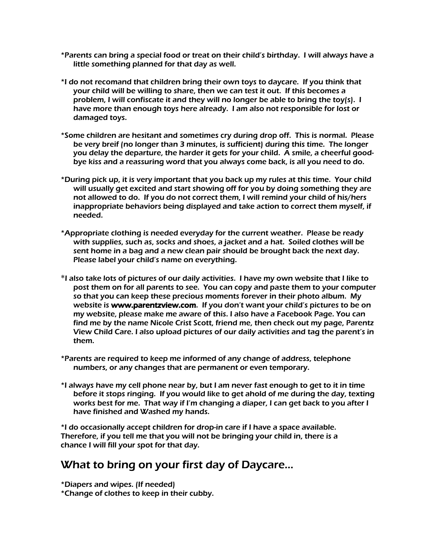- \*Parents can bring a special food or treat on their child's birthday. I will always have a little something planned for that day as well.
- \*I do not recomand that children bring their own toys to daycare. If you think that your child will be willing to share, then we can test it out. If this becomes a problem, I will confiscate it and they will no longer be able to bring the toy(s). I have more than enough toys here already. I am also not responsible for lost or damaged toys.
- \*Some children are hesitant and sometimes cry during drop off. This is normal. Please be very breif (no longer than 3 minutes, is sufficient) during this time. The longer you delay the departure, the harder it gets for your child. A smile, a cheerful goodbye kiss and a reassuring word that you always come back, is all you need to do.
- \*During pick up, it is very important that you back up my rules at this time. Your child will usually get excited and start showing off for you by doing something they are not allowed to do. If you do not correct them, I will remind your child of his/hers inappropriate behaviors being displayed and take action to correct them myself, if needed.
- \*Appropriate clothing is needed everyday for the current weather. Please be ready with supplies, such as, socks and shoes, a jacket and a hat. Soiled clothes will be sent home in a bag and a new clean pair should be brought back the next day. Please label your child's name on everything.
- \*I also take lots of pictures of our daily activities. I have my own website that I like to post them on for all parents to see. You can copy and paste them to your computer so that you can keep these precious moments forever in their photo album. My website is www.parentzview.com. If you don't want your child's pictures to be on my website, please make me aware of this. I also have a Facebook Page. You can find me by the name Nicole Crist Scott, friend me, then check out my page, Parentz View Child Care. I also upload pictures of our daily activities and tag the parent's in them.
- \*Parents are required to keep me informed of any change of address, telephone numbers, or any changes that are permanent or even temporary.
- \*I always have my cell phone near by, but I am never fast enough to get to it in time before it stops ringing. If you would like to get ahold of me during the day, texting works best for me. That way if I'm changing a diaper, I can get back to you after I have finished and Washed my hands.

\*I do occasionally accept children for drop-in care if I have a space available. Therefore, if you tell me that you will not be bringing your child in, there is a chance I will fill your spot for that day.

## What to bring on your first day of Daycare…

\*Diapers and wipes. (If needed)

\*Change of clothes to keep in their cubby.